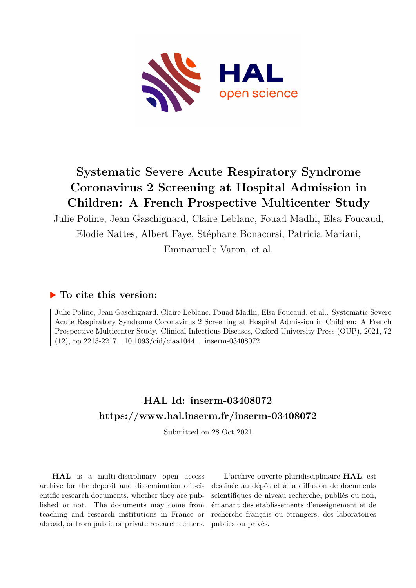

# **Systematic Severe Acute Respiratory Syndrome Coronavirus 2 Screening at Hospital Admission in Children: A French Prospective Multicenter Study**

Julie Poline, Jean Gaschignard, Claire Leblanc, Fouad Madhi, Elsa Foucaud, Elodie Nattes, Albert Faye, Stéphane Bonacorsi, Patricia Mariani,

Emmanuelle Varon, et al.

### **To cite this version:**

Julie Poline, Jean Gaschignard, Claire Leblanc, Fouad Madhi, Elsa Foucaud, et al.. Systematic Severe Acute Respiratory Syndrome Coronavirus 2 Screening at Hospital Admission in Children: A French Prospective Multicenter Study. Clinical Infectious Diseases, Oxford University Press (OUP), 2021, 72  $(12)$ , pp.2215-2217.  $10.1093/\text{cid}/\text{ciaa}1044$ . inserm-03408072

# **HAL Id: inserm-03408072 <https://www.hal.inserm.fr/inserm-03408072>**

Submitted on 28 Oct 2021

**HAL** is a multi-disciplinary open access archive for the deposit and dissemination of scientific research documents, whether they are published or not. The documents may come from teaching and research institutions in France or abroad, or from public or private research centers.

L'archive ouverte pluridisciplinaire **HAL**, est destinée au dépôt et à la diffusion de documents scientifiques de niveau recherche, publiés ou non, émanant des établissements d'enseignement et de recherche français ou étrangers, des laboratoires publics ou privés.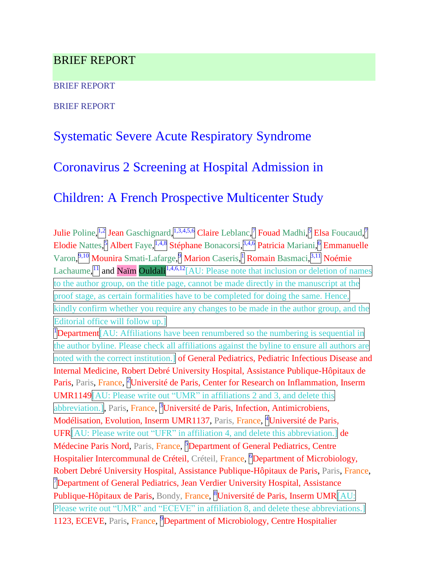### BRIEF REPORT

BRIEF REPORT

BRIEF REPORT

# Systematic Severe Acute Respiratory Syndrome

### Coronavirus 2 Screening at Hospital Admission in

### Children: A French Prospective Multicenter Study

Julie Poline,<sup>[1,2</sup>] Jean Gaschignard, <sup>[1,3,4,5,6</sup>] Claire Leblanc,<sup>[7</sup>] Fouad Madhi, <sup>5</sup>] Elsa Foucaud,<sup>[7</sup>] Elodie Nattes, Albert Faye, <sup>1,4,8</sup> Stéphane Bonacorsi, <sup>3,4,6</sup> Patricia Mariani, <sup>6</sup> Emmanuelle Varon, 9,10 Mounira Smati-Lafarge, Marion Caseris, Romain Basmaci, <sup>3,11</sup> Noémie Lachaume,  $\left| \frac{1}{1} \right|$  and Naim Ouldali $\left| \frac{1}{4}, 4, 6, 12 \right|$  and  $\left| \frac{1}{4} \right|$ . Please note that inclusion or deletion of names to the author group, on the title page, cannot be made directly in the manuscript at the proof stage, as certain formalities have to be completed for doing the same. Hence, kindly confirm whether you require any changes to be made in the author group, and the Editorial office will follow up.] <sup>1</sup>Department<sup>[AU: Affiliations have been renumbered so the numbering is sequential in</sup> the author byline. Please check all affiliations against the byline to ensure all authors are noted with the correct institution.] of General Pediatrics, Pediatric Infectious Disease and Internal Medicine, Robert Debré University Hospital, Assistance Publique-Hôpitaux de Paris, Paris, France, <sup>P</sup>Université de Paris, Center for Research on Inflammation, Inserm UMR1149[AU: Please write out "UMR" in affiliations 2 and 3, and delete this abbreviation.], Paris, France, <sup>B</sup>Université de Paris, Infection, Antimicrobiens, Modélisation, Evolution, Inserm UMR1137, Paris, France, <sup>a</sup>Université de Paris, UFR[AU: Please write out "UFR" in affiliation 4, and delete this abbreviation.] de Médecine Paris Nord, Paris, France, **Department of General Pediatrics**, Centre Hospitalier Intercommunal de Créteil, Créteil, France, **Department of Microbiology**, Robert Debré University Hospital, Assistance Publique-Hôpitaux de Paris, Paris, France, <sup>7</sup>Department of General Pediatrics, Jean Verdier University Hospital, Assistance Publique-Hôpitaux de Paris, Bondy, France, <sup>8</sup>Université de Paris, Inserm UMR AU: Please write out "UMR" and "ECEVE" in affiliation 8, and delete these abbreviations.] 1123, ECEVE, Paris, France, **Department of Microbiology**, Centre Hospitalier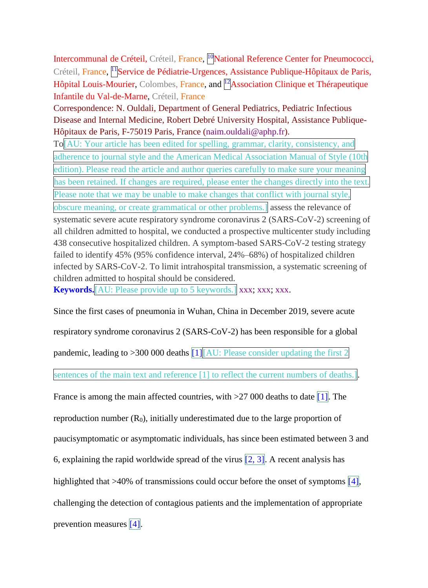Intercommunal de Créteil, Créteil, France, <sup>[10</sup>National Reference Center for Pneumococci, Créteil, France, <sup>11</sup>Service de Pédiatrie-Urgences, Assistance Publique-Hôpitaux de Paris, Hôpital Louis-Mourier, Colombes, France, and <sup>[12</sup>Association Clinique et Thérapeutique Infantile du Val-de-Marne, Créteil, France

Correspondence: N. Ouldali, Department of General Pediatrics, Pediatric Infectious Disease and Internal Medicine, Robert Debré University Hospital, Assistance Publique-Hôpitaux de Paris, F-75019 Paris, France (naim.ouldali@aphp.fr).

To[AU: Your article has been edited for spelling, grammar, clarity, consistency, and adherence to journal style and the American Medical Association Manual of Style (10th edition). Please read the article and author queries carefully to make sure your meaning has been retained. If changes are required, please enter the changes directly into the text. Please note that we may be unable to make changes that conflict with journal style, obscure meaning, or create grammatical or other problems.] assess the relevance of systematic severe acute respiratory syndrome coronavirus 2 (SARS-CoV-2) screening of all children admitted to hospital, we conducted a prospective multicenter study including 438 consecutive hospitalized children. A symptom-based SARS-CoV-2 testing strategy failed to identify 45% (95% confidence interval, 24%–68%) of hospitalized children infected by SARS-CoV-2. To limit intrahospital transmission, a systematic screening of children admitted to hospital should be considered.

**Keywords.**[AU: Please provide up to 5 keywords.] xxx; xxx; xxx.

Since the first cases of pneumonia in Wuhan, China in December 2019, severe acute respiratory syndrome coronavirus 2 (SARS-CoV-2) has been responsible for a global pandemic, leading to  $>300 000$  deaths  $\boxed{1}$   $\boxed{AU: Please consider updating the first 2}$ sentences of the main text and reference [1] to reflect the current numbers of deaths.] France is among the main affected countries, with  $>27,000$  deaths to date [1]. The reproduction number  $(R_0)$ , initially underestimated due to the large proportion of paucisymptomatic or asymptomatic individuals, has since been estimated between 3 and 6, explaining the rapid worldwide spread of the virus  $\overline{[2, 3]}$ . A recent analysis has highlighted that >40% of transmissions could occur before the onset of symptoms  $[4]$ , challenging the detection of contagious patients and the implementation of appropriate prevention measures  $[4]$ .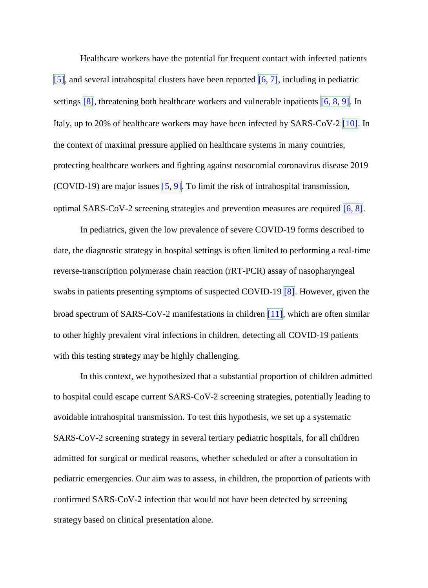Healthcare workers have the potential for frequent contact with infected patients [5], and several intrahospital clusters have been reported  $\overline{[6, 7]}$ , including in pediatric settings  $\boxed{8}$ , threatening both healthcare workers and vulnerable inpatients  $\boxed{6, 8, 9}$ . In Italy, up to 20% of healthcare workers may have been infected by SARS-CoV-2  $\boxed{10}$ . In the context of maximal pressure applied on healthcare systems in many countries, protecting healthcare workers and fighting against nosocomial coronavirus disease 2019 (COVID-19) are major issues  $[5, 9]$ . To limit the risk of intrahospital transmission, optimal SARS-CoV-2 screening strategies and prevention measures are required  $[6, 8]$ .

In pediatrics, given the low prevalence of severe COVID-19 forms described to date, the diagnostic strategy in hospital settings is often limited to performing a real-time reverse-transcription polymerase chain reaction (rRT-PCR) assay of nasopharyngeal swabs in patients presenting symptoms of suspected COVID-19 [8]. However, given the broad spectrum of SARS-CoV-2 manifestations in children  $\boxed{11}$ , which are often similar to other highly prevalent viral infections in children, detecting all COVID-19 patients with this testing strategy may be highly challenging.

In this context, we hypothesized that a substantial proportion of children admitted to hospital could escape current SARS-CoV-2 screening strategies, potentially leading to avoidable intrahospital transmission. To test this hypothesis, we set up a systematic SARS-CoV-2 screening strategy in several tertiary pediatric hospitals, for all children admitted for surgical or medical reasons, whether scheduled or after a consultation in pediatric emergencies. Our aim was to assess, in children, the proportion of patients with confirmed SARS-CoV-2 infection that would not have been detected by screening strategy based on clinical presentation alone.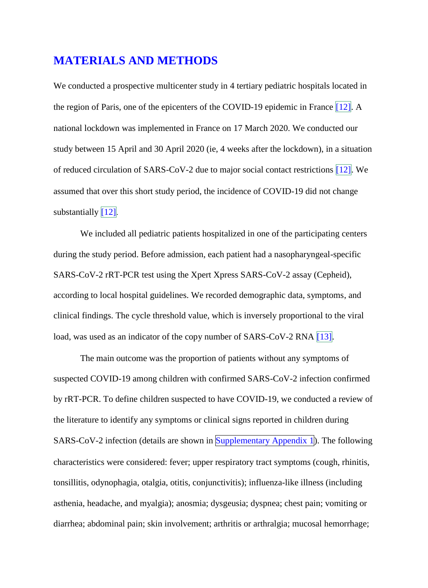### **MATERIALS AND METHODS**

We conducted a prospective multicenter study in 4 tertiary pediatric hospitals located in the region of Paris, one of the epicenters of the COVID-19 epidemic in France  $[12]$ . A national lockdown was implemented in France on 17 March 2020. We conducted our study between 15 April and 30 April 2020 (ie, 4 weeks after the lockdown), in a situation of reduced circulation of SARS-CoV-2 due to major social contact restrictions  $\left[12\right]$ . We assumed that over this short study period, the incidence of COVID-19 did not change substantially  $\left[12\right]$ .

We included all pediatric patients hospitalized in one of the participating centers during the study period. Before admission, each patient had a nasopharyngeal-specific SARS-CoV-2 rRT-PCR test using the Xpert Xpress SARS-CoV-2 assay (Cepheid), according to local hospital guidelines. We recorded demographic data, symptoms, and clinical findings. The cycle threshold value, which is inversely proportional to the viral load, was used as an indicator of the copy number of SARS-CoV-2 RNA [13].

The main outcome was the proportion of patients without any symptoms of suspected COVID-19 among children with confirmed SARS-CoV-2 infection confirmed by rRT-PCR. To define children suspected to have COVID-19, we conducted a review of the literature to identify any symptoms or clinical signs reported in children during SARS-CoV-2 infection (details are shown in Supplementary Appendix 1). The following characteristics were considered: fever; upper respiratory tract symptoms (cough, rhinitis, tonsillitis, odynophagia, otalgia, otitis, conjunctivitis); influenza-like illness (including asthenia, headache, and myalgia); anosmia; dysgeusia; dyspnea; chest pain; vomiting or diarrhea; abdominal pain; skin involvement; arthritis or arthralgia; mucosal hemorrhage;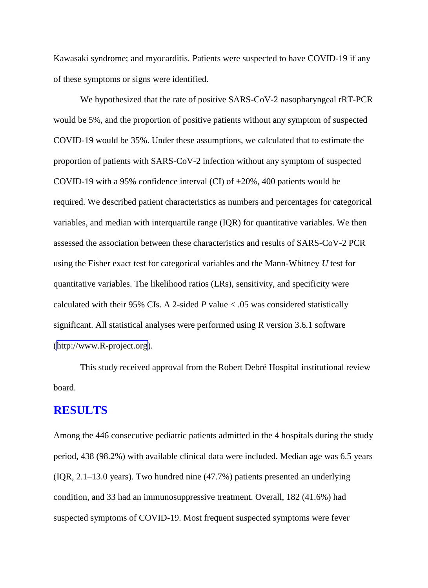Kawasaki syndrome; and myocarditis. Patients were suspected to have COVID-19 if any of these symptoms or signs were identified.

We hypothesized that the rate of positive SARS-CoV-2 nasopharyngeal rRT-PCR would be 5%, and the proportion of positive patients without any symptom of suspected COVID-19 would be 35%. Under these assumptions, we calculated that to estimate the proportion of patients with SARS-CoV-2 infection without any symptom of suspected COVID-19 with a 95% confidence interval (CI) of  $\pm 20\%$ , 400 patients would be required. We described patient characteristics as numbers and percentages for categorical variables, and median with interquartile range (IQR) for quantitative variables. We then assessed the association between these characteristics and results of SARS-CoV-2 PCR using the Fisher exact test for categorical variables and the Mann-Whitney *U* test for quantitative variables. The likelihood ratios (LRs), sensitivity, and specificity were calculated with their 95% CIs. A 2-sided *P* value < .05 was considered statistically significant. All statistical analyses were performed using R version 3.6.1 software (http://www.R-project.org).

This study received approval from the Robert Debré Hospital institutional review board.

### **RESULTS**

Among the 446 consecutive pediatric patients admitted in the 4 hospitals during the study period, 438 (98.2%) with available clinical data were included. Median age was 6.5 years (IQR, 2.1–13.0 years). Two hundred nine (47.7%) patients presented an underlying condition, and 33 had an immunosuppressive treatment. Overall, 182 (41.6%) had suspected symptoms of COVID-19. Most frequent suspected symptoms were fever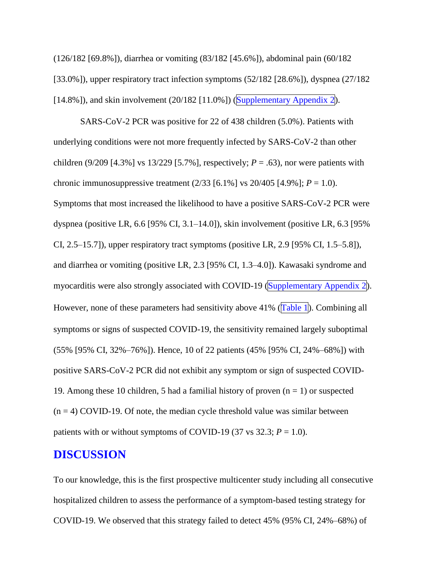(126/182 [69.8%]), diarrhea or vomiting (83/182 [45.6%]), abdominal pain (60/182 [33.0%]), upper respiratory tract infection symptoms (52/182 [28.6%]), dyspnea (27/182  $[14.8\%]$ , and skin involvement  $(20/182 \, [11.0\%])$  (Supplementary Appendix 2).

SARS-CoV-2 PCR was positive for 22 of 438 children (5.0%). Patients with underlying conditions were not more frequently infected by SARS-CoV-2 than other children (9/209 [4.3%] vs 13/229 [5.7%], respectively;  $P = .63$ ), nor were patients with chronic immunosuppressive treatment  $(2/33 [6.1\%] \text{ vs } 20/405 [4.9\%]; P = 1.0)$ . Symptoms that most increased the likelihood to have a positive SARS-CoV-2 PCR were dyspnea (positive LR, 6.6 [95% CI, 3.1–14.0]), skin involvement (positive LR, 6.3 [95% CI, 2.5–15.7]), upper respiratory tract symptoms (positive LR, 2.9 [95% CI, 1.5–5.8]), and diarrhea or vomiting (positive LR, 2.3 [95% CI, 1.3–4.0]). Kawasaki syndrome and myocarditis were also strongly associated with COVID-19 (Supplementary Appendix 2). However, none of these parameters had sensitivity above 41% (Table 1). Combining all symptoms or signs of suspected COVID-19, the sensitivity remained largely suboptimal (55% [95% CI, 32%–76%]). Hence, 10 of 22 patients (45% [95% CI, 24%–68%]) with positive SARS-CoV-2 PCR did not exhibit any symptom or sign of suspected COVID-19. Among these 10 children, 5 had a familial history of proven  $(n = 1)$  or suspected  $(n = 4)$  COVID-19. Of note, the median cycle threshold value was similar between patients with or without symptoms of COVID-19 (37 vs 32.3;  $P = 1.0$ ).

### **DISCUSSION**

To our knowledge, this is the first prospective multicenter study including all consecutive hospitalized children to assess the performance of a symptom-based testing strategy for COVID-19. We observed that this strategy failed to detect 45% (95% CI, 24%–68%) of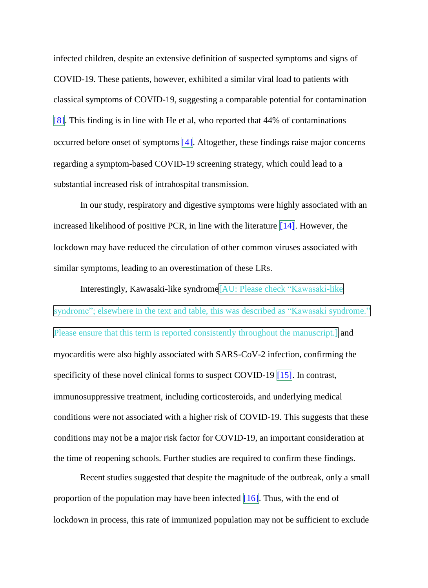infected children, despite an extensive definition of suspected symptoms and signs of COVID-19. These patients, however, exhibited a similar viral load to patients with classical symptoms of COVID-19, suggesting a comparable potential for contamination [8]. This finding is in line with He et al, who reported that 44% of contaminations occurred before onset of symptoms  $\vert 4 \vert$ . Altogether, these findings raise major concerns regarding a symptom-based COVID-19 screening strategy, which could lead to a substantial increased risk of intrahospital transmission.

In our study, respiratory and digestive symptoms were highly associated with an increased likelihood of positive PCR, in line with the literature  $\|14\|$ . However, the lockdown may have reduced the circulation of other common viruses associated with similar symptoms, leading to an overestimation of these LRs.

Interestingly, Kawasaki-like syndrome[AU: Please check "Kawasaki-like syndrome"; elsewhere in the text and table, this was described as "Kawasaki syndrome." Please ensure that this term is reported consistently throughout the manuscript.] and myocarditis were also highly associated with SARS-CoV-2 infection, confirming the specificity of these novel clinical forms to suspect COVID-19  $\parallel$  15. In contrast, immunosuppressive treatment, including corticosteroids, and underlying medical conditions were not associated with a higher risk of COVID-19. This suggests that these conditions may not be a major risk factor for COVID-19, an important consideration at the time of reopening schools. Further studies are required to confirm these findings.

Recent studies suggested that despite the magnitude of the outbreak, only a small proportion of the population may have been infected  $\boxed{16}$ . Thus, with the end of lockdown in process, this rate of immunized population may not be sufficient to exclude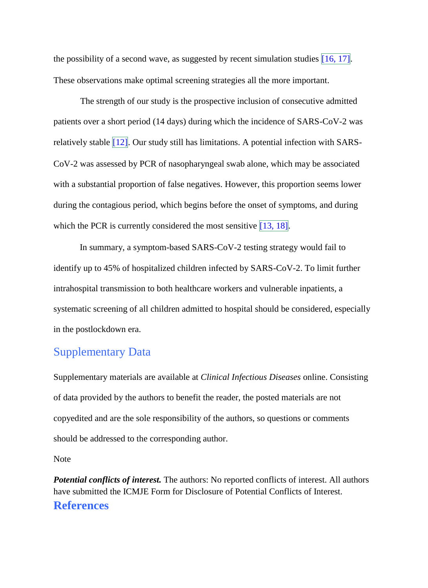the possibility of a second wave, as suggested by recent simulation studies  $[16, 17]$ . These observations make optimal screening strategies all the more important.

The strength of our study is the prospective inclusion of consecutive admitted patients over a short period (14 days) during which the incidence of SARS-CoV-2 was relatively stable  $\left[12\right]$ . Our study still has limitations. A potential infection with SARS-CoV-2 was assessed by PCR of nasopharyngeal swab alone, which may be associated with a substantial proportion of false negatives. However, this proportion seems lower during the contagious period, which begins before the onset of symptoms, and during which the PCR is currently considered the most sensitive  $\boxed{13, 18}$ .

In summary, a symptom-based SARS-CoV-2 testing strategy would fail to identify up to 45% of hospitalized children infected by SARS-CoV-2. To limit further intrahospital transmission to both healthcare workers and vulnerable inpatients, a systematic screening of all children admitted to hospital should be considered, especially in the postlockdown era.

### Supplementary Data

Supplementary materials are available at *Clinical Infectious Diseases* online. Consisting of data provided by the authors to benefit the reader, the posted materials are not copyedited and are the sole responsibility of the authors, so questions or comments should be addressed to the corresponding author.

Note

*Potential conflicts of interest.* The authors: No reported conflicts of interest. All authors have submitted the ICMJE Form for Disclosure of Potential Conflicts of Interest. **References**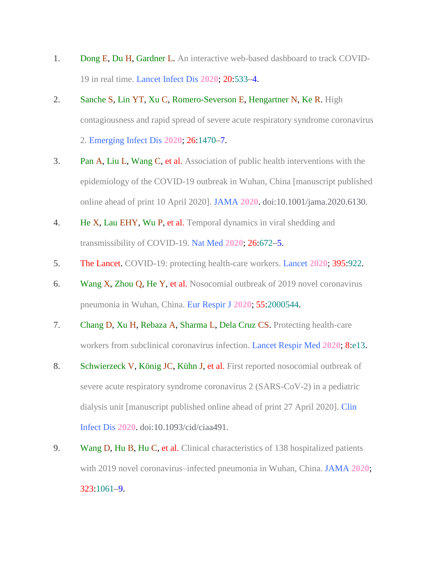- 1. Dong E, Du H, Gardner L. An interactive web-based dashboard to track COVID-19 in real time. Lancet Infect Dis **2020**; 20:533–4.
- 2. Sanche S, Lin YT, Xu C, Romero-Severson E, Hengartner N, Ke R. High contagiousness and rapid spread of severe acute respiratory syndrome coronavirus 2. Emerging Infect Dis **2020**; 26:1470–7.
- 3. Pan A, Liu L, Wang C, et al. Association of public health interventions with the epidemiology of the COVID-19 outbreak in Wuhan, China [manuscript published online ahead of print 10 April 2020]. JAMA **2020**. doi:10.1001/jama.2020.6130.
- 4. He X, Lau EHY, Wu P, et al. Temporal dynamics in viral shedding and transmissibility of COVID-19. Nat Med **2020**; 26:672–5.
- 5. The Lancet. COVID-19: protecting health-care workers. Lancet **2020**; 395:922.
- 6. Wang X, Zhou Q, He Y, et al. Nosocomial outbreak of 2019 novel coronavirus pneumonia in Wuhan, China. Eur Respir J **2020**; 55:2000544.
- 7. Chang D, Xu H, Rebaza A, Sharma L, Dela Cruz CS. Protecting health-care workers from subclinical coronavirus infection. Lancet Respir Med **2020**; 8:e13.
- 8. Schwierzeck V, König JC, Kühn J, et al. First reported nosocomial outbreak of severe acute respiratory syndrome coronavirus 2 (SARS-CoV-2) in a pediatric dialysis unit [manuscript published online ahead of print 27 April 2020]. Clin Infect Dis **2020**. doi:10.1093/cid/ciaa491.
- 9. Wang D, Hu B, Hu C, et al. Clinical characteristics of 138 hospitalized patients with 2019 novel coronavirus–infected pneumonia in Wuhan, China. JAMA **2020**; 323:1061–9.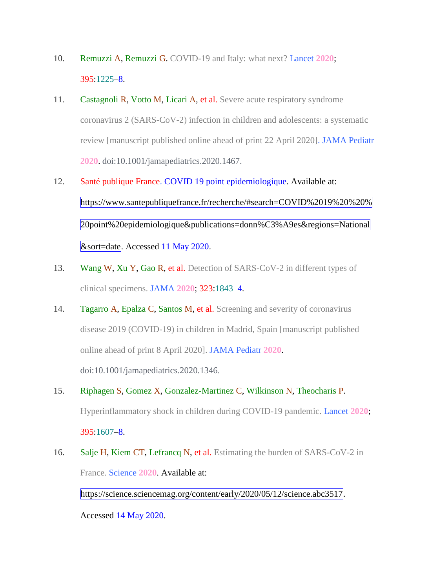- 10. Remuzzi A, Remuzzi G. COVID-19 and Italy: what next? Lancet **2020**; 395:1225–8.
- 11. Castagnoli R, Votto M, Licari A, et al. Severe acute respiratory syndrome coronavirus 2 (SARS-CoV-2) infection in children and adolescents: a systematic review [manuscript published online ahead of print 22 April 2020]. JAMA Pediatr **2020**. doi:10.1001/jamapediatrics.2020.1467.
- 12. Santé publique France. COVID 19 point epidemiologique. Available at: https://www.santepubliquefrance.fr/recherche/#search=COVID%2019%20%20% 20point%20epidemiologique&publications=donn%C3%A9es&regions=National &sort=date. Accessed 11 May 2020.
- 13. Wang W, Xu Y, Gao R, et al. Detection of SARS-CoV-2 in different types of clinical specimens. JAMA **2020**; 323:1843–4.
- 14. Tagarro A, Epalza C, Santos M, et al. Screening and severity of coronavirus disease 2019 (COVID-19) in children in Madrid, Spain [manuscript published online ahead of print 8 April 2020]. JAMA Pediatr **2020**. doi:10.1001/jamapediatrics.2020.1346.
- 15. Riphagen S, Gomez X, Gonzalez-Martinez C, Wilkinson N, Theocharis P. Hyperinflammatory shock in children during COVID-19 pandemic. Lancet **2020**; 395:1607–8.
- 16. Salje H, Kiem CT, Lefrancq N, et al. Estimating the burden of SARS-CoV-2 in France. Science **2020**. Available at:

https://science.sciencemag.org/content/early/2020/05/12/science.abc3517.

Accessed 14 May 2020.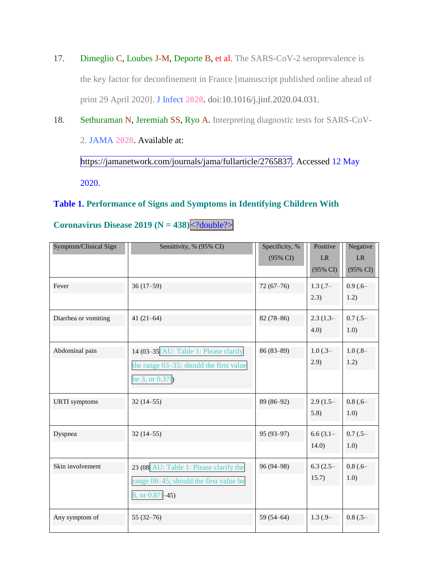- 17. Dimeglio C, Loubes J-M, Deporte B, et al. The SARS-CoV-2 seroprevalence is the key factor for deconfinement in France [manuscript published online ahead of print 29 April 2020]. J Infect **2020**. doi:10.1016/j.jinf.2020.04.031.
- 18. Sethuraman N, Jeremiah SS, Ryo A. Interpreting diagnostic tests for SARS-CoV-2. JAMA **2020**. Available at: https://jamanetwork.com/journals/jama/fullarticle/2765837. Accessed 12 May

2020.

#### **Table 1. Performance of Signs and Symptoms in Identifying Children With**

| Symptom/Clinical Sign | Sensitivity, % (95% CI)                                                                              | Specificity, %<br>(95% CI) | Positive<br><b>LR</b><br>$(95\% \text{ CI})$ | Negative<br><b>LR</b><br>$(95\% \text{ CI})$ |
|-----------------------|------------------------------------------------------------------------------------------------------|----------------------------|----------------------------------------------|----------------------------------------------|
| Fever                 | $36(17-59)$                                                                                          | $72(67-76)$                | $1.3$ $(.7-$<br>2.3)                         | $0.9(.6 -$<br>1.2)                           |
| Diarrhea or vomiting  | $41(21-64)$                                                                                          | $82(78-86)$                | $2.3(1.3-$<br>4.0)                           | $0.7$ $(.5 -$<br>1.0)                        |
| Abdominal pain        | 14 (03-35 [AU: Table 1: Please clarify<br>the range 03-35; should the first value<br>be 3, or 0.3?]) | $86(83-89)$                | $1.0$ (.3–<br>2.9)                           | $1.0(.8-$<br>1.2)                            |
| <b>URTI</b> symptoms  | $32(14-55)$                                                                                          | 89 (86-92)                 | $2.9(1.5-$<br>5.8)                           | $0.8$ (.6–<br>1.0)                           |
| Dyspnea               | $32(14-55)$                                                                                          | $95(93-97)$                | $6.6(3.1-$<br>14.0)                          | $0.7$ $(.5 -$<br>1.0)                        |
| Skin involvement      | 23 (08 [AU: Table 1: Please clarify the<br>range 08–45; should the first value be<br>8, or 0.8?]-45) | 96 (94-98)                 | $6.3(2.5-$<br>15.7)                          | $0.8$ (.6–<br>1.0)                           |
| Any symptom of        | $55(32-76)$                                                                                          | $59(54 - 64)$              | $1.3(.9-$                                    | $0.8$ $(.5 -$                                |

**Coronavirus Disease 2019**  $(N = 438)$  **<?double?>**